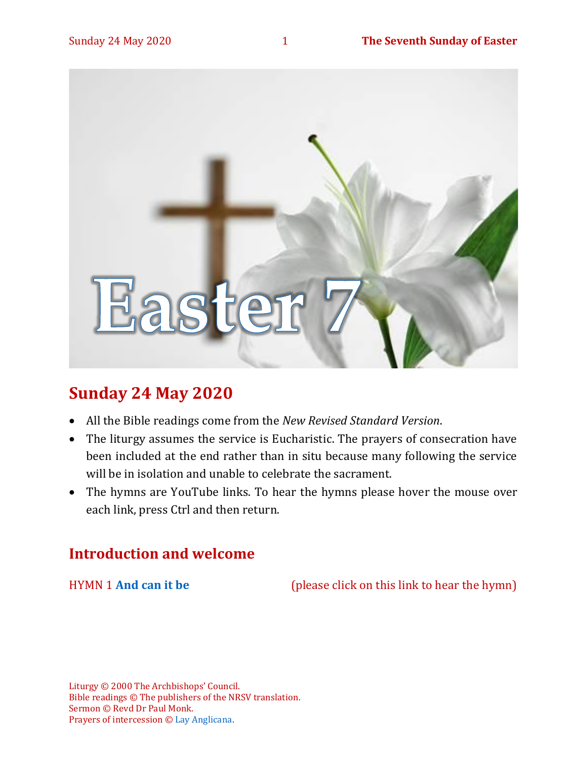

# **Sunday 24 May 2020**

- All the Bible readings come from the *New Revised Standard Version*.
- The liturgy assumes the service is Eucharistic. The prayers of consecration have been included at the end rather than in situ because many following the service will be in isolation and unable to celebrate the sacrament.
- The hymns are YouTube links. To hear the hymns please hover the mouse over each link, press Ctrl and then return.

# **Introduction and welcome**

HYMN 1 **[And can it be](https://www.youtube.com/watch?v=uzDes9IVdzg)** (please click on this link to hear the hymn)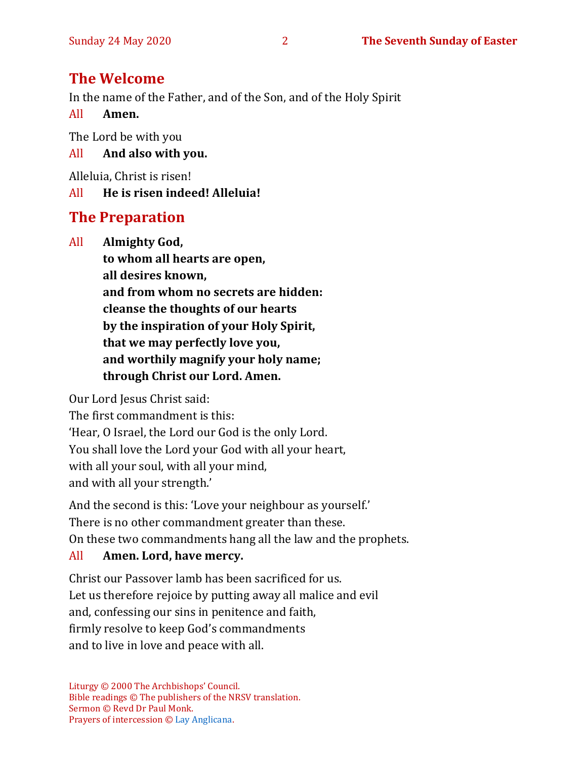# **The Welcome**

In the name of the Father, and of the Son, and of the Holy Spirit

All **Amen.**

The Lord be with you

All **And also with you.**

Alleluia, Christ is risen!

All **He is risen indeed! Alleluia!**

# **The Preparation**

All **Almighty God, to whom all hearts are open, all desires known, and from whom no secrets are hidden: cleanse the thoughts of our hearts by the inspiration of your Holy Spirit, that we may perfectly love you, and worthily magnify your holy name; through Christ our Lord. Amen.**

Our Lord Jesus Christ said:

The first commandment is this: 'Hear, O Israel, the Lord our God is the only Lord. You shall love the Lord your God with all your heart, with all your soul, with all your mind, and with all your strength.'

And the second is this: 'Love your neighbour as yourself.' There is no other commandment greater than these. On these two commandments hang all the law and the prophets.

## All **Amen. Lord, have mercy.**

Christ our Passover lamb has been sacrificed for us. Let us therefore rejoice by putting away all malice and evil and, confessing our sins in penitence and faith, firmly resolve to keep God's commandments and to live in love and peace with all.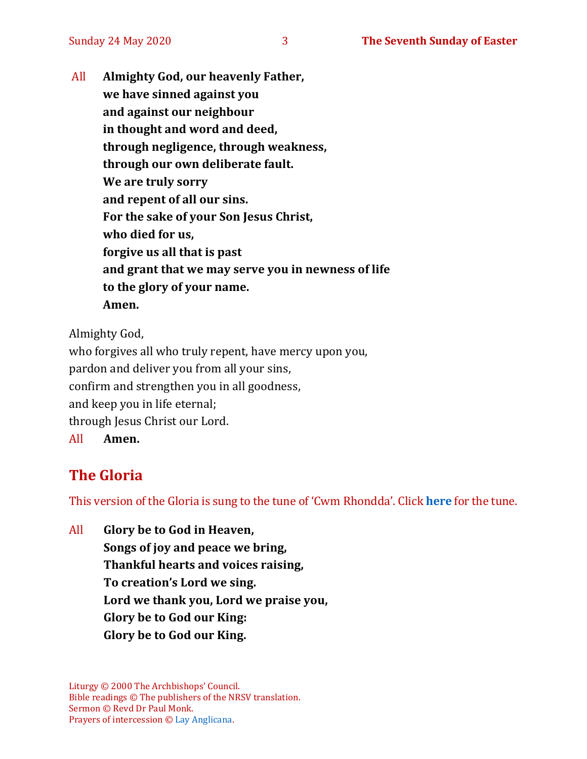All **Almighty God, our heavenly Father, we have sinned against you and against our neighbour in thought and word and deed, through negligence, through weakness, through our own deliberate fault. We are truly sorry and repent of all our sins. For the sake of your Son Jesus Christ, who died for us, forgive us all that is past and grant that we may serve you in newness of life to the glory of your name. Amen.**

Almighty God,

who forgives all who truly repent, have mercy upon you, pardon and deliver you from all your sins, confirm and strengthen you in all goodness, and keep you in life eternal; through Jesus Christ our Lord. All **Amen.**

# **The Gloria**

This version of the Gloria is sung to the tune of 'Cwm Rhondda'. Click **[here](about:blank)** for the tune.

All **Glory be to God in Heaven, Songs of joy and peace we bring, Thankful hearts and voices raising, To creation's Lord we sing. Lord we thank you, Lord we praise you, Glory be to God our King: Glory be to God our King.**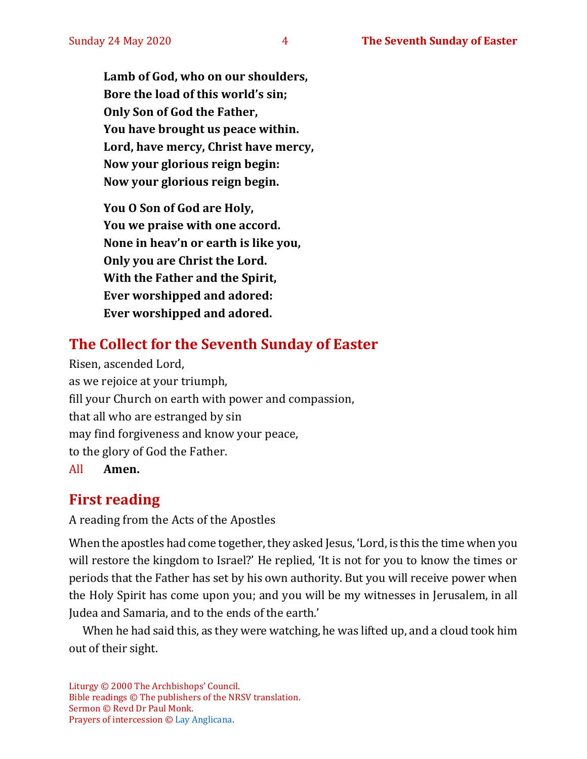**Lamb of God, who on our shoulders, Bore the load of this world's sin; Only Son of God the Father, You have brought us peace within. Lord, have mercy, Christ have mercy, Now your glorious reign begin: Now your glorious reign begin.**

**You O Son of God are Holy, You we praise with one accord. None in heav'n or earth is like you, Only you are Christ the Lord. With the Father and the Spirit, Ever worshipped and adored: Ever worshipped and adored.**

# **The Collect for the Seventh Sunday of Easter**

Risen, ascended Lord, as we rejoice at your triumph, fill your Church on earth with power and compassion, that all who are estranged by sin may find forgiveness and know your peace, to the glory of God the Father.

All **Amen.**

# **First reading**

A reading from the Acts of the Apostles

When the apostles had come together, they asked Jesus, 'Lord, is this the time when you will restore the kingdom to Israel?' He replied, 'It is not for you to know the times or periods that the Father has set by his own authority. But you will receive power when the Holy Spirit has come upon you; and you will be my witnesses in Jerusalem, in all Judea and Samaria, and to the ends of the earth.'

When he had said this, as they were watching, he was lifted up, and a cloud took him out of their sight.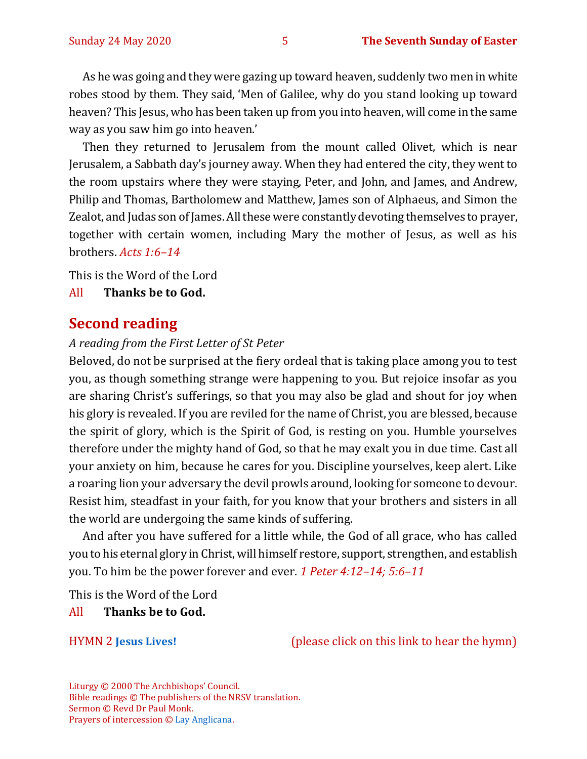As he was going and they were gazing up toward heaven, suddenly two men in white robes stood by them. They said, 'Men of Galilee, why do you stand looking up toward heaven? This Jesus, who has been taken up from you into heaven, will come in the same way as you saw him go into heaven.'

Then they returned to Jerusalem from the mount called Olivet, which is near Jerusalem, a Sabbath day's journey away. When they had entered the city, they went to the room upstairs where they were staying, Peter, and John, and James, and Andrew, Philip and Thomas, Bartholomew and Matthew, James son of Alphaeus, and Simon the Zealot, and Judas son of James. All these were constantly devoting themselves to prayer, together with certain women, including Mary the mother of Jesus, as well as his brothers. *Acts 1:6–14*

This is the Word of the Lord

#### All **Thanks be to God.**

# **Second reading**

#### *A reading from the First Letter of St Peter*

Beloved, do not be surprised at the fiery ordeal that is taking place among you to test you, as though something strange were happening to you. But rejoice insofar as you are sharing Christ's sufferings, so that you may also be glad and shout for joy when his glory is revealed. If you are reviled for the name of Christ, you are blessed, because the spirit of glory, which is the Spirit of God, is resting on you. Humble yourselves therefore under the mighty hand of God, so that he may exalt you in due time. Cast all your anxiety on him, because he cares for you. Discipline yourselves, keep alert. Like a roaring lion your adversary the devil prowls around, looking for someone to devour. Resist him, steadfast in your faith, for you know that your brothers and sisters in all the world are undergoing the same kinds of suffering.

And after you have suffered for a little while, the God of all grace, who has called you to his eternal glory in Christ, will himself restore, support, strengthen, and establish you. To him be the power forever and ever. *1 Peter 4:12–14; 5:6–11*

This is the Word of the Lord

All **Thanks be to God.**

HYMN 2 **[Jesus Lives!](https://www.youtube.com/watch?v=ZCz-HYIxmvE)** (please click on this link to hear the hymn)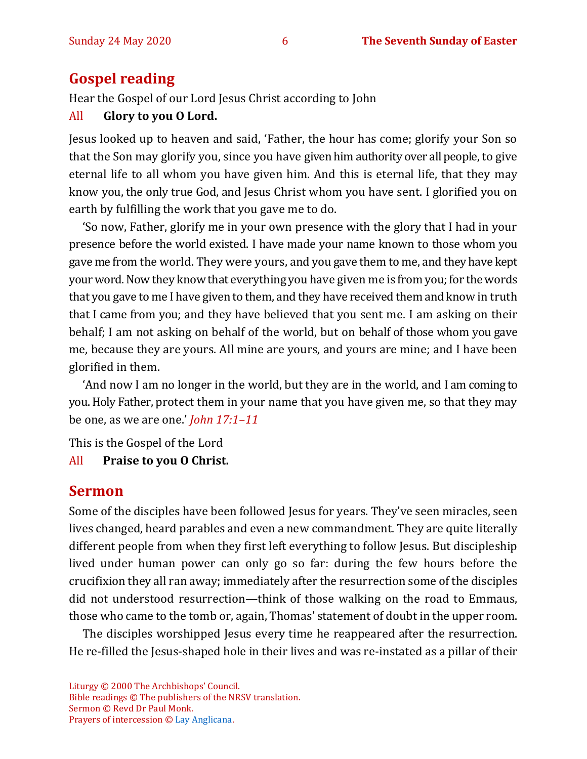# **Gospel reading**

Hear the Gospel of our Lord Jesus Christ according to John

#### All **Glory to you O Lord.**

Jesus looked up to heaven and said, 'Father, the hour has come; glorify your Son so that the Son may glorify you, since you have given him authority over all people, to give eternal life to all whom you have given him. And this is eternal life, that they may know you, the only true God, and Jesus Christ whom you have sent. I glorified you on earth by fulfilling the work that you gave me to do.

'So now, Father, glorify me in your own presence with the glory that I had in your presence before the world existed. I have made your name known to those whom you gave me from the world. They were yours, and you gave them to me, and they have kept your word. Nowthey know that everything you have given me is from you; for the words that you gave to me I have given to them, and they have received them and know in truth that I came from you; and they have believed that you sent me. I am asking on their behalf; I am not asking on behalf of the world, but on behalf of those whom you gave me, because they are yours. All mine are yours, and yours are mine; and I have been glorified in them.

'And now I am no longer in the world, but they are in the world, and I am coming to you. Holy Father, protect them in your name that you have given me, so that they may be one, as we are one.' *John 17:1–11*

This is the Gospel of the Lord

#### All **Praise to you O Christ.**

#### **Sermon**

Some of the disciples have been followed Jesus for years. They've seen miracles, seen lives changed, heard parables and even a new commandment. They are quite literally different people from when they first left everything to follow Jesus. But discipleship lived under human power can only go so far: during the few hours before the crucifixion they all ran away; immediately after the resurrection some of the disciples did not understood resurrection—think of those walking on the road to Emmaus, those who came to the tomb or, again, Thomas' statement of doubt in the upper room.

The disciples worshipped Jesus every time he reappeared after the resurrection. He re-filled the Jesus-shaped hole in their lives and was re-instated as a pillar of their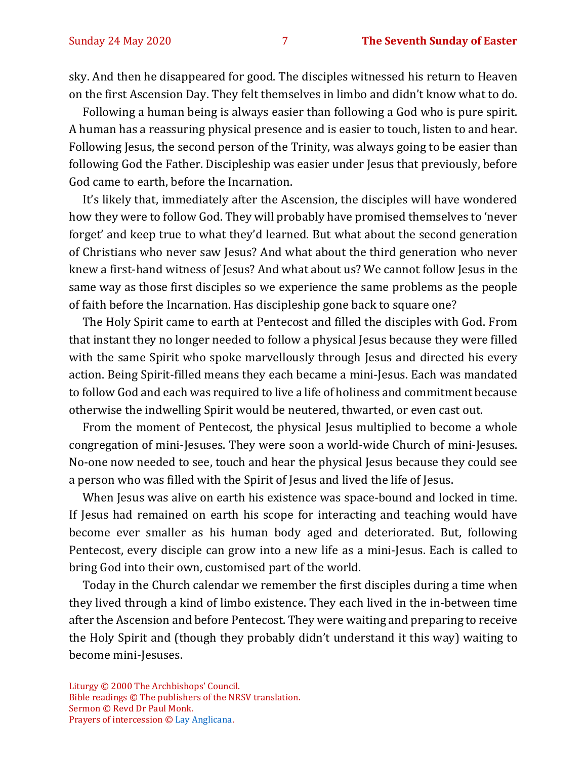sky. And then he disappeared for good. The disciples witnessed his return to Heaven on the first Ascension Day. They felt themselves in limbo and didn't know what to do.

Following a human being is always easier than following a God who is pure spirit. A human has a reassuring physical presence and is easier to touch, listen to and hear. Following Jesus, the second person of the Trinity, was always going to be easier than following God the Father. Discipleship was easier under Jesus that previously, before God came to earth, before the Incarnation.

It's likely that, immediately after the Ascension, the disciples will have wondered how they were to follow God. They will probably have promised themselves to 'never forget' and keep true to what they'd learned. But what about the second generation of Christians who never saw Jesus? And what about the third generation who never knew a first-hand witness of Jesus? And what about us? We cannot follow Jesus in the same way as those first disciples so we experience the same problems as the people of faith before the Incarnation. Has discipleship gone back to square one?

The Holy Spirit came to earth at Pentecost and filled the disciples with God. From that instant they no longer needed to follow a physical Jesus because they were filled with the same Spirit who spoke marvellously through Jesus and directed his every action. Being Spirit-filled means they each became a mini-Jesus. Each was mandated to follow God and each was required to live a life of holiness and commitment because otherwise the indwelling Spirit would be neutered, thwarted, or even cast out.

From the moment of Pentecost, the physical Jesus multiplied to become a whole congregation of mini-Jesuses. They were soon a world-wide Church of mini-Jesuses. No-one now needed to see, touch and hear the physical Jesus because they could see a person who was filled with the Spirit of Jesus and lived the life of Jesus.

When Jesus was alive on earth his existence was space-bound and locked in time. If Jesus had remained on earth his scope for interacting and teaching would have become ever smaller as his human body aged and deteriorated. But, following Pentecost, every disciple can grow into a new life as a mini-Jesus. Each is called to bring God into their own, customised part of the world.

Today in the Church calendar we remember the first disciples during a time when they lived through a kind of limbo existence. They each lived in the in-between time after the Ascension and before Pentecost. They were waiting and preparing to receive the Holy Spirit and (though they probably didn't understand it this way) waiting to become mini-Jesuses.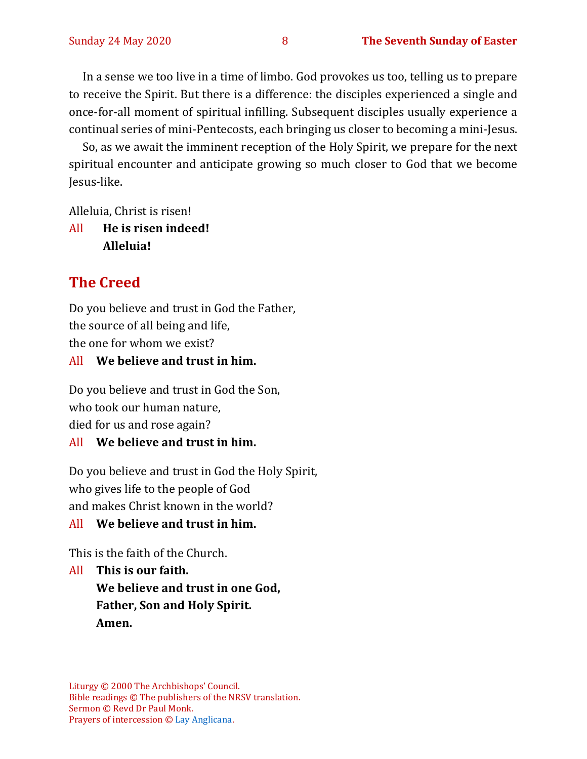In a sense we too live in a time of limbo. God provokes us too, telling us to prepare to receive the Spirit. But there is a difference: the disciples experienced a single and once-for-all moment of spiritual infilling. Subsequent disciples usually experience a continual series of mini-Pentecosts, each bringing us closer to becoming a mini-Jesus.

So, as we await the imminent reception of the Holy Spirit, we prepare for the next spiritual encounter and anticipate growing so much closer to God that we become Jesus-like.

Alleluia, Christ is risen!

All **He is risen indeed! Alleluia!**

# **The Creed**

Do you believe and trust in God the Father, the source of all being and life, the one for whom we exist?

#### All **We believe and trust in him.**

Do you believe and trust in God the Son, who took our human nature, died for us and rose again? All **We believe and trust in him.**

Do you believe and trust in God the Holy Spirit, who gives life to the people of God and makes Christ known in the world?

## All **We believe and trust in him.**

This is the faith of the Church.

All **This is our faith. We believe and trust in one God, Father, Son and Holy Spirit. Amen.**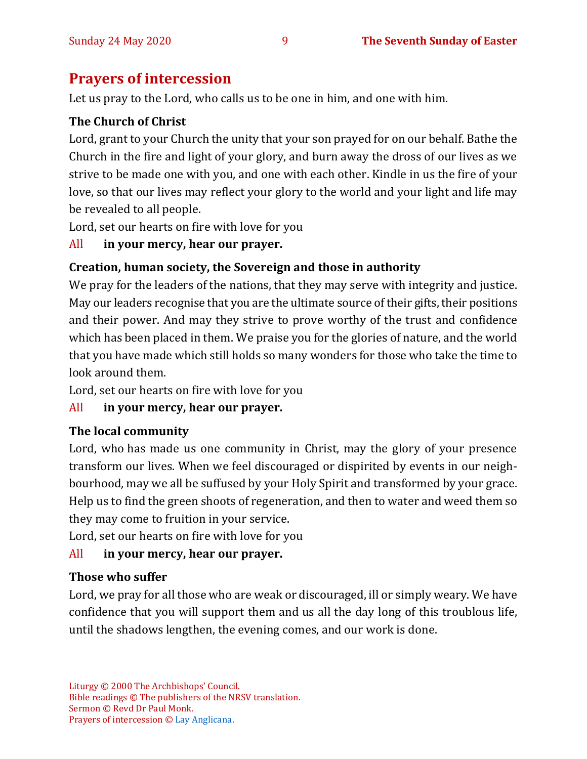# **Prayers of intercession**

Let us pray to the Lord, who calls us to be one in him, and one with him.

# **The Church of Christ**

Lord, grant to your Church the unity that your son prayed for on our behalf. Bathe the Church in the fire and light of your glory, and burn away the dross of our lives as we strive to be made one with you, and one with each other. Kindle in us the fire of your love, so that our lives may reflect your glory to the world and your light and life may be revealed to all people.

Lord, set our hearts on fire with love for you

## All **in your mercy, hear our prayer.**

# **Creation, human society, the Sovereign and those in authority**

We pray for the leaders of the nations, that they may serve with integrity and justice. May our leaders recognise that you are the ultimate source of their gifts, their positions and their power. And may they strive to prove worthy of the trust and confidence which has been placed in them. We praise you for the glories of nature, and the world that you have made which still holds so many wonders for those who take the time to look around them.

Lord, set our hearts on fire with love for you

## All **in your mercy, hear our prayer.**

# **The local community**

Lord, who has made us one community in Christ, may the glory of your presence transform our lives. When we feel discouraged or dispirited by events in our neighbourhood, may we all be suffused by your Holy Spirit and transformed by your grace. Help us to find the green shoots of regeneration, and then to water and weed them so they may come to fruition in your service.

Lord, set our hearts on fire with love for you

# All **in your mercy, hear our prayer.**

## **Those who suffer**

Lord, we pray for all those who are weak or discouraged, ill or simply weary. We have confidence that you will support them and us all the day long of this troublous life, until the shadows lengthen, the evening comes, and our work is done.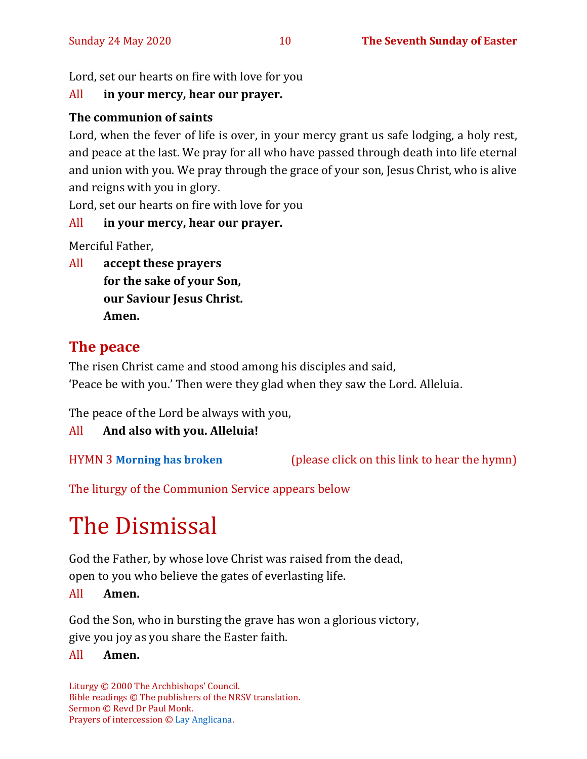Lord, set our hearts on fire with love for you

#### All **in your mercy, hear our prayer.**

#### **The communion of saints**

Lord, when the fever of life is over, in your mercy grant us safe lodging, a holy rest, and peace at the last. We pray for all who have passed through death into life eternal and union with you. We pray through the grace of your son, Jesus Christ, who is alive and reigns with you in glory.

Lord, set our hearts on fire with love for you

#### All **in your mercy, hear our prayer.**

Merciful Father,

All **accept these prayers for the sake of your Son, our Saviour Jesus Christ. Amen.**

# **The peace**

The risen Christ came and stood among his disciples and said,

'Peace be with you.' Then were they glad when they saw the Lord. Alleluia.

The peace of the Lord be always with you,

All **And also with you. Alleluia!**

HYMN 3 **[Morning has broken](https://www.youtube.com/watch?v=h5D3LEjGF8A)** (please click on this link to hear the hymn)

The liturgy of the Communion Service appears below

# The Dismissal

God the Father, by whose love Christ was raised from the dead, open to you who believe the gates of everlasting life.

All **Amen.**

God the Son, who in bursting the grave has won a glorious victory,

give you joy as you share the Easter faith.

All **Amen.**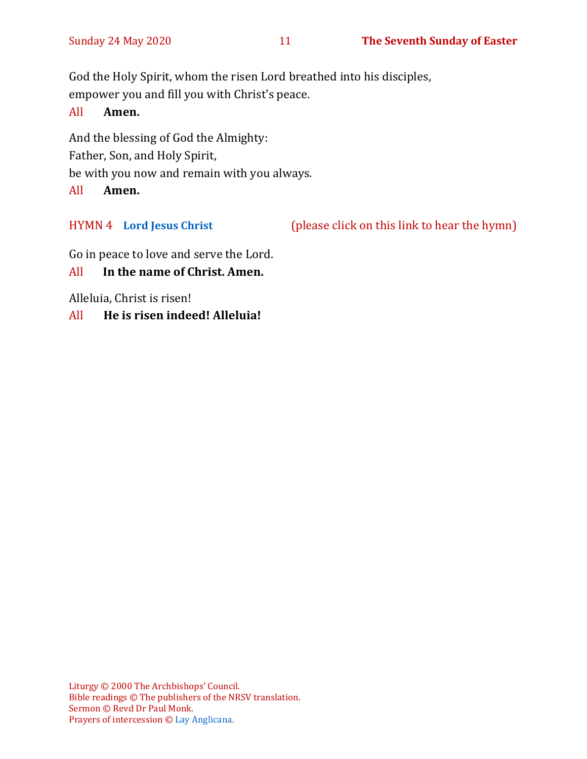God the Holy Spirit, whom the risen Lord breathed into his disciples, empower you and fill you with Christ's peace.

All **Amen.**

And the blessing of God the Almighty: Father, Son, and Holy Spirit, be with you now and remain with you always.

All **Amen.**

HYMN 4 **[Lord Jesus Christ](https://www.youtube.com/watch?v=ekVLG-p8Xsc)** (please click on this link to hear the hymn)

Go in peace to love and serve the Lord.

#### All **In the name of Christ. Amen.**

Alleluia, Christ is risen!

#### All **He is risen indeed! Alleluia!**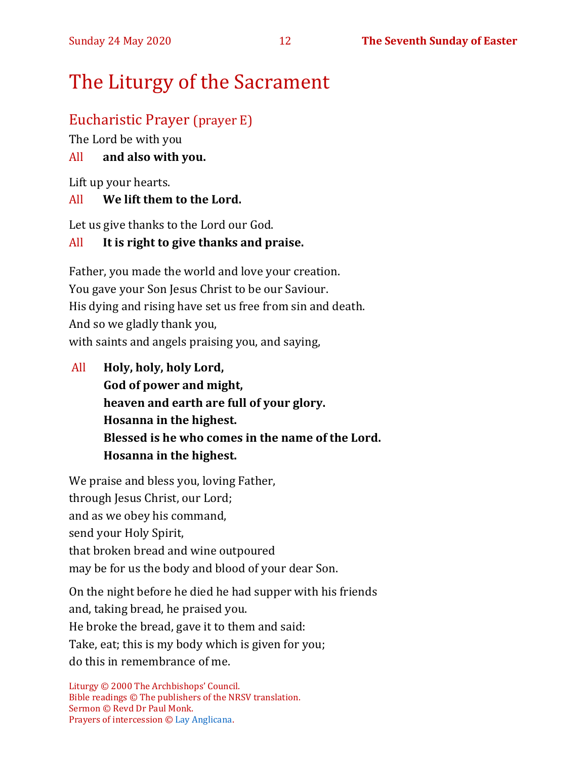# The Liturgy of the Sacrament

# Eucharistic Prayer (prayer E)

The Lord be with you

#### All **and also with you.**

Lift up your hearts.

#### All **We lift them to the Lord.**

Let us give thanks to the Lord our God.

#### All **It is right to give thanks and praise.**

Father, you made the world and love your creation. You gave your Son Jesus Christ to be our Saviour. His dying and rising have set us free from sin and death. And so we gladly thank you, with saints and angels praising you, and saying,

All **Holy, holy, holy Lord, God of power and might, heaven and earth are full of your glory. Hosanna in the highest. Blessed is he who comes in the name of the Lord. Hosanna in the highest.**

We praise and bless you, loving Father, through Jesus Christ, our Lord; and as we obey his command, send your Holy Spirit, that broken bread and wine outpoured may be for us the body and blood of your dear Son.

On the night before he died he had supper with his friends and, taking bread, he praised you. He broke the bread, gave it to them and said: Take, eat; this is my body which is given for you; do this in remembrance of me.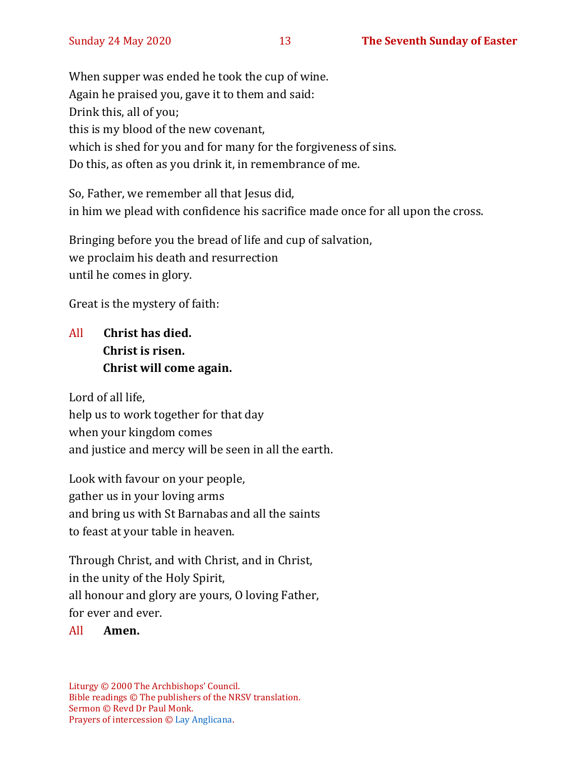When supper was ended he took the cup of wine. Again he praised you, gave it to them and said: Drink this, all of you; this is my blood of the new covenant, which is shed for you and for many for the forgiveness of sins. Do this, as often as you drink it, in remembrance of me.

So, Father, we remember all that Jesus did, in him we plead with confidence his sacrifice made once for all upon the cross.

Bringing before you the bread of life and cup of salvation, we proclaim his death and resurrection until he comes in glory.

Great is the mystery of faith:

# All **Christ has died. Christ is risen. Christ will come again.**

Lord of all life, help us to work together for that day when your kingdom comes and justice and mercy will be seen in all the earth.

Look with favour on your people, gather us in your loving arms and bring us with St Barnabas and all the saints to feast at your table in heaven.

Through Christ, and with Christ, and in Christ, in the unity of the Holy Spirit, all honour and glory are yours, O loving Father, for ever and ever.

#### All **Amen.**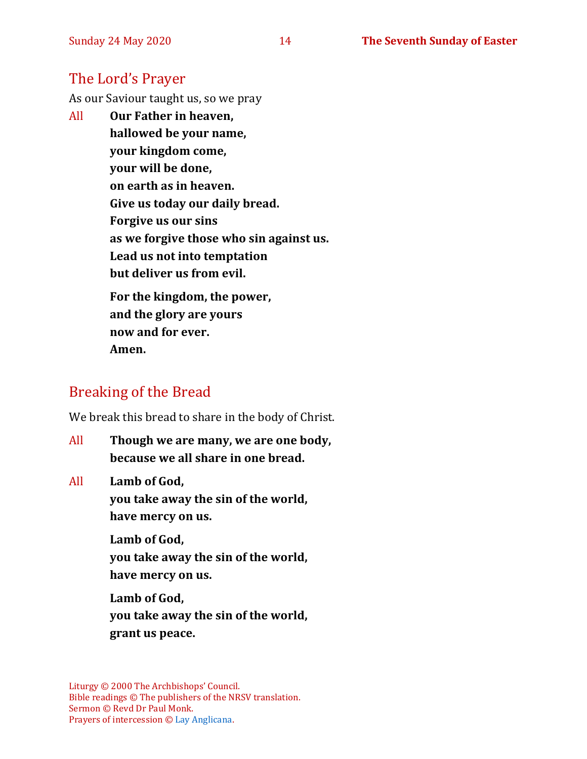# The Lord's Prayer

As our Saviour taught us, so we pray

All **Our Father in heaven, hallowed be your name, your kingdom come, your will be done, on earth as in heaven. Give us today our daily bread. Forgive us our sins as we forgive those who sin against us. Lead us not into temptation but deliver us from evil. For the kingdom, the power,** 

**and the glory are yours now and for ever. Amen.**

# Breaking of the Bread

We break this bread to share in the body of Christ.

All **Though we are many, we are one body, because we all share in one bread.**

All **Lamb of God,**

**you take away the sin of the world, have mercy on us.**

**Lamb of God, you take away the sin of the world, have mercy on us.**

**Lamb of God, you take away the sin of the world, grant us peace.**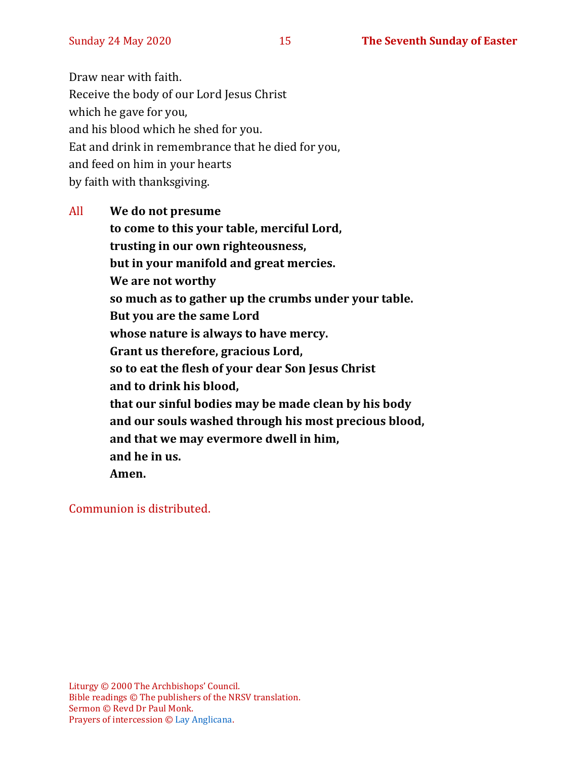Draw near with faith. Receive the body of our Lord Jesus Christ which he gave for you, and his blood which he shed for you. Eat and drink in remembrance that he died for you, and feed on him in your hearts by faith with thanksgiving.

All **We do not presume to come to this your table, merciful Lord, trusting in our own righteousness, but in your manifold and great mercies. We are not worthy so much as to gather up the crumbs under your table. But you are the same Lord whose nature is always to have mercy. Grant us therefore, gracious Lord, so to eat the flesh of your dear Son Jesus Christ and to drink his blood, that our sinful bodies may be made clean by his body and our souls washed through his most precious blood, and that we may evermore dwell in him, and he in us. Amen.**

Communion is distributed.